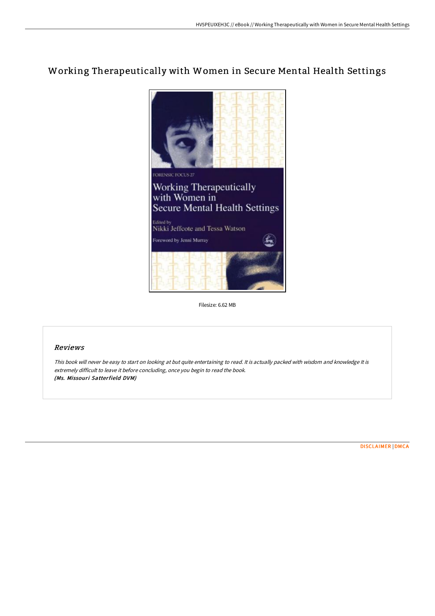# Working Therapeutically with Women in Secure Mental Health Settings



Filesize: 6.62 MB

## Reviews

This book will never be easy to start on looking at but quite entertaining to read. It is actually packed with wisdom and knowledge It is extremely difficult to leave it before concluding, once you begin to read the book. (Ms. Missouri Satterfield DVM)

[DISCLAIMER](http://www.bookdirs.com/disclaimer.html) | [DMCA](http://www.bookdirs.com/dmca.html)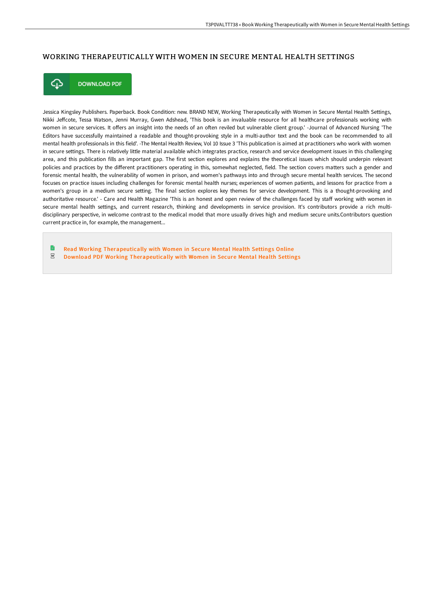### WORKING THERAPEUTICALLY WITH WOMEN IN SECURE MENTAL HEALTH SETTINGS



**DOWNLOAD PDF** 

Jessica Kingsley Publishers. Paperback. Book Condition: new. BRAND NEW, Working Therapeutically with Women in Secure Mental Health Settings, Nikki Jeffcote, Tessa Watson, Jenni Murray, Gwen Adshead, 'This book is an invaluable resource for all healthcare professionals working with women in secure services. It offers an insight into the needs of an often reviled but vulnerable client group.' -Journal of Advanced Nursing 'The Editors have successfully maintained a readable and thought-provoking style in a multi-author text and the book can be recommended to all mental health professionals in this field'. -The Mental Health Review, Vol 10 Issue 3 'This publication is aimed at practitioners who work with women in secure settings. There is relatively little material available which integrates practice, research and service development issues in this challenging area, and this publication fills an important gap. The first section explores and explains the theoretical issues which should underpin relevant policies and practices by the different practitioners operating in this, somewhat neglected, field. The section covers matters such a gender and forensic mental health, the vulnerability of women in prison, and women's pathways into and through secure mental health services. The second focuses on practice issues including challenges for forensic mental health nurses; experiences of women patients, and lessons for practice from a women's group in a medium secure setting. The final section explores key themes for service development. This is a thought-provoking and authoritative resource.' - Care and Health Magazine 'This is an honest and open review of the challenges faced by staff working with women in secure mental health settings, and current research, thinking and developments in service provision. It's contributors provide a rich multidisciplinary perspective, in welcome contrast to the medical model that more usually drives high and medium secure units.Contributors question current practice in, for example, the management...

Ð Read Working [Therapeutically](http://www.bookdirs.com/working-therapeutically-with-women-in-secure-men.html) with Women in Secure Mental Health Settings Online  $PDF$ Download PDF Working [Therapeutically](http://www.bookdirs.com/working-therapeutically-with-women-in-secure-men.html) with Women in Secure Mental Health Settings